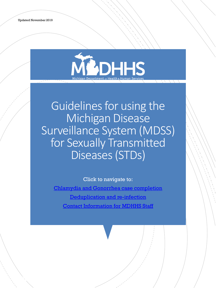Revised 8/26/2019



Guidelines for using the Michigan Disease Surveillance System (MDSS) for Sexually Transmitted Diseases (STDs)

Click to navigate to:

[Chlamydia and Gonorrhea case completion](#page-2-0) [Deduplication and re-infection](#page-6-0) [Contact Information for MDHHS Staff](#page-7-0)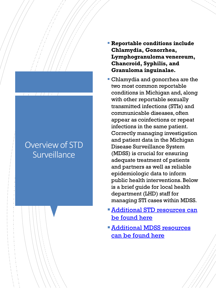## Overview of STD **Surveillance**

- **Reportable conditions include Chlamydia, Gonorrhea, Lymphogranuloma venereum, Chancroid, Syphilis, and Granuloma inguinalae.**
- **Chlamydia and gonorrhea are the** two most common reportable conditions in Michigan and, along with other reportable sexually transmitted infections (STIs) and communicable diseases, often appear as coinfections or repeat infections in the same patient. Correctly managing investigation and patient data in the Michigan Disease Surveillance System (MDSS) is crucial for ensuring adequate treatment of patients and partners as well as reliable epidemiologic data to inform public health interventions. Below is a brief guide for local health department (LHD) staff for managing STI cases within MDSS.
- *Additional STD resources can* be found here
- **Additional MDSS resources** can be found here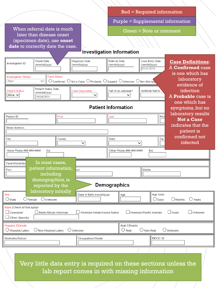<span id="page-2-0"></span>

|                                                                                                                                                                                                                                                                 |                                                                 |                                       | Purple = Supplemental information        |                                                               |                                                     |                |  |  |  |
|-----------------------------------------------------------------------------------------------------------------------------------------------------------------------------------------------------------------------------------------------------------------|-----------------------------------------------------------------|---------------------------------------|------------------------------------------|---------------------------------------------------------------|-----------------------------------------------------|----------------|--|--|--|
| When referral date is much<br>later than disease onset                                                                                                                                                                                                          |                                                                 |                                       | <b>Green = Note or comment</b>           |                                                               |                                                     |                |  |  |  |
|                                                                                                                                                                                                                                                                 | (specimen date), use onset                                      |                                       |                                          |                                                               |                                                     |                |  |  |  |
|                                                                                                                                                                                                                                                                 | date to correctly date the case.                                |                                       |                                          |                                                               |                                                     |                |  |  |  |
|                                                                                                                                                                                                                                                                 |                                                                 |                                       | <b>Investigation Information</b>         |                                                               |                                                     |                |  |  |  |
| Investigation ID                                                                                                                                                                                                                                                | <b>Onset Date</b><br>(mm/dd/yyyy)                               | <b>Diagnosis Date</b><br>(mm/dd/yyyy) | <b>Referral Date</b><br>(mm/dd/yyyy)     | Case Entry Date<br>(mm/dd/yyyy)<br>10/24/2019                 | <b>Case Definitions:</b><br><b>A Confirmed case</b> |                |  |  |  |
| is one which has<br><b>Case Status</b><br><b>Investigation Status</b><br>laboratory<br>$\bigcirc$ Confirmed $\bigcirc$ Not a Case $\bigcirc$ Probable $\bigcirc$ Suspect $\bigcirc$ Unknown $\bigcirc$ Non-Michiga<br><b>New</b><br>$\checkmark$<br>evidence of |                                                                 |                                       |                                          |                                                               |                                                     |                |  |  |  |
| <b>Patient Status</b><br>Alive $\vee$                                                                                                                                                                                                                           | <b>Patient Status Date</b><br>(mm/dd/yyyy)<br>10/24/2019        | <b>Case Disposition</b><br>✓          | Part of an outbreak?<br>$\checkmark$     | <b>Outbreak Name</b>                                          | infection<br>A <b>Probable</b> case is              |                |  |  |  |
|                                                                                                                                                                                                                                                                 | one which has<br><b>Patient Information</b><br>symptoms, but no |                                       |                                          |                                                               |                                                     |                |  |  |  |
| <b>Patient ID</b>                                                                                                                                                                                                                                               | First                                                           |                                       | Last                                     | laboratory results<br><b>Not a Case</b><br>indicates that the |                                                     |                |  |  |  |
| <b>Street Address</b>                                                                                                                                                                                                                                           |                                                                 |                                       |                                          |                                                               | patient is                                          |                |  |  |  |
| City                                                                                                                                                                                                                                                            | County                                                          | $\checkmark$                          | <b>State</b>                             | Zip<br>v                                                      | confirmed not<br>infected                           |                |  |  |  |
| Home Phone ###-###-####                                                                                                                                                                                                                                         | Ext.                                                            |                                       | Other Phone ###-###-####                 | Ext.                                                          |                                                     |                |  |  |  |
| Parent/Guardian                                                                                                                                                                                                                                                 | In most cases,                                                  |                                       |                                          |                                                               |                                                     |                |  |  |  |
| patient information,<br>last<br><b>Middle</b><br>First<br>including                                                                                                                                                                                             |                                                                 |                                       |                                          |                                                               |                                                     |                |  |  |  |
| demographics, is<br><b>Demographics</b><br>reported by the                                                                                                                                                                                                      |                                                                 |                                       |                                          |                                                               |                                                     |                |  |  |  |
| Sex<br>$\bigcirc$ Male<br>$\bigcirc$ Female                                                                                                                                                                                                                     | laboratory initially<br>O Unknown                               | Date of Birth mm/dd/yyyy              | Age                                      | Age Units<br>$\bigcirc$ Days                                  | $\bigcirc$ Months<br>$\bigcirc$ Years               |                |  |  |  |
| Race (Check all that apply)<br>$\Box$ Caucasian<br>$\Box$ Other (Specify)                                                                                                                                                                                       | <b>Black/African American</b>                                   | American Indian/Alaska Native         |                                          | $\Box$ Hawaiian/Pacific Islander                              | $\Box$ Asian                                        | $\Box$ Unknown |  |  |  |
| <b>Hispanic Ethnicity</b><br>◯ Hispanic/Latino                                                                                                                                                                                                                  | O Non-Hispanic/Latino                                           | $\bigcirc$ Unknown                    | <b>Arab Ethnicity</b><br>$\bigcirc$ Arab | $\bigcirc$ Non-Arab                                           | $\bigcirc$ Unknown                                  |                |  |  |  |
| Worksites/School                                                                                                                                                                                                                                                |                                                                 | Occupations/Grade                     |                                          | <b>MDOC ID</b>                                                |                                                     |                |  |  |  |
|                                                                                                                                                                                                                                                                 |                                                                 |                                       |                                          |                                                               |                                                     |                |  |  |  |

Red = Required information

Very little data entry is required on these sections unless the lab report comes in with missing information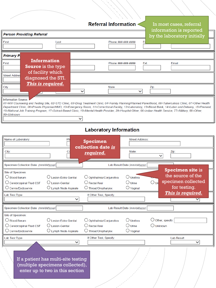### **Referral Information <**

In most cases, referral information is reported

| <b>Person Providing Referral</b>  |                                                 |  |                              | by the laboratory initially                                                                                                                                                                                                                                                                                                                                                                                                                                                            |  |  |  |
|-----------------------------------|-------------------------------------------------|--|------------------------------|----------------------------------------------------------------------------------------------------------------------------------------------------------------------------------------------------------------------------------------------------------------------------------------------------------------------------------------------------------------------------------------------------------------------------------------------------------------------------------------|--|--|--|
| First<br>Last                     |                                                 |  | Phone ###-###-####           | Еx                                                                                                                                                                                                                                                                                                                                                                                                                                                                                     |  |  |  |
| <b>Primary P</b>                  |                                                 |  |                              |                                                                                                                                                                                                                                                                                                                                                                                                                                                                                        |  |  |  |
| First                             | <b>Information</b><br><b>Source</b> is the type |  | Phone ###-###-####           | Ext.<br>Email                                                                                                                                                                                                                                                                                                                                                                                                                                                                          |  |  |  |
| <b>Street Addres</b>              | of facility which<br>diagnosed the STI.         |  |                              |                                                                                                                                                                                                                                                                                                                                                                                                                                                                                        |  |  |  |
| City                              | This is required.                               |  | <b>State</b><br>$\checkmark$ | Zip                                                                                                                                                                                                                                                                                                                                                                                                                                                                                    |  |  |  |
| Information Source:<br>99=Unknown |                                                 |  |                              | 01=HIV Counseling and Testing Site, 02=STD Clinic, 03=Drug Treatment Clinic, 04=Family Planning/Planned Parenthood, 06=Tuberculosis Clinic, 07=Other Health<br>Department Clinic, 08=Private Physician/HMO, 10=Emergency Room, 11=Correctional Facility, 12=Laboratory, 13=Blood Bank, 14=Labor and Delivery, 15=Prenatal,<br>16=National Job Training Program, 17=School-Based Clinic, 18=Mental Health Provider, 29=Hospital-Other, 66=Indian Health Service, 77=Military, 88=Other, |  |  |  |

### **Laboratory Information**

| Name of Laboratory:                                                                            | Ph                                                                            | <b>Specimen</b><br>collection date is                             | <b>Street Address:</b>                              |                                                                                                     |
|------------------------------------------------------------------------------------------------|-------------------------------------------------------------------------------|-------------------------------------------------------------------|-----------------------------------------------------|-----------------------------------------------------------------------------------------------------|
| City:                                                                                          |                                                                               | <u>required.</u>                                                  | State:                                              | Zip:<br>$\checkmark$                                                                                |
| Specimen Collection Date: (mm/dd/yyyy)                                                         |                                                                               |                                                                   | Lab Result Date (mm/dd/yyyy)                        |                                                                                                     |
| Site of Specimen:<br>$\cup$ Blood/Serum<br>Cerebrospinal Fluid CSF<br>$\cup$ Cervix/Endocervix | ◯ Lesion-Extra Genital<br>$\cup$ Lesion-Genital<br>$\cup$ Lymph Node Aspirate | Ophthalmia/Conjunctiva<br>Rectal/Anal<br>$\cup$ Throat/Oropharynx | $\bigcup$ Urethra<br>$\cup$ Urine<br>$\cup$ Vaginal | <b>Specimen site is</b><br>the source of the<br>specimen collected<br>$\bigcirc$ un<br>for testing. |
| Lab Test Type                                                                                  |                                                                               | If Other Test, Specify:                                           |                                                     | This is required.                                                                                   |
| Specimen Collection Date: (mm/dd/yyyy)                                                         |                                                                               |                                                                   | Lab Result Date (mm/dd/yyyy)                        |                                                                                                     |
| Site of Specimen:<br>◯ Blood/Serum<br>$\bigcirc$ Cerebrospinal Fluid CSF<br>Cervix/Endocervix  | Lesion-Extra Genital<br>◯ Lesion-Genital<br>U Lymph Node Aspirate             | Ophthalmia/Conjunctiva<br>Rectal/Anal<br>Throat/Oropharynx        | $\cup$ Urethra<br>$\cup$ Urine<br>$\cup$ Vaginal    | $\cup$ Other, specify:<br>$\bigcup$ Unknown                                                         |
| Lab Test Type                                                                                  |                                                                               | If Other Test, Specify:                                           |                                                     | <b>Lab Result</b>                                                                                   |
|                                                                                                |                                                                               |                                                                   |                                                     |                                                                                                     |

If a patient has multi-site testing (multiple specimens collected), enter up to two in this section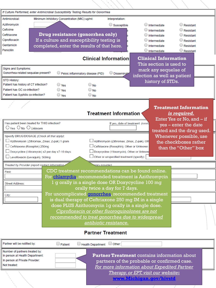| If Culture Performed, enter Antimicrobial Susceptibility Testing Results for Gonorrhea                                                                                                                                                                                                                                                                                                                                                                                               |  |  |  |  |  |  |
|--------------------------------------------------------------------------------------------------------------------------------------------------------------------------------------------------------------------------------------------------------------------------------------------------------------------------------------------------------------------------------------------------------------------------------------------------------------------------------------|--|--|--|--|--|--|
| Antimicrobial:<br>Minimum Inhibitory Concentration (MIC) ug/ml:<br>Interpretation:                                                                                                                                                                                                                                                                                                                                                                                                   |  |  |  |  |  |  |
| Azithromycin<br>$\bigcirc$ Susceptible<br>Intermediate<br>$\bigcirc$ Resistant                                                                                                                                                                                                                                                                                                                                                                                                       |  |  |  |  |  |  |
| Cefixime<br>Intermediate<br>$\cup$ Resistant                                                                                                                                                                                                                                                                                                                                                                                                                                         |  |  |  |  |  |  |
| Drug resistance (gonorrhea only)<br>Ceftriaxone<br>$\cup$ Resistant<br>Intermediate                                                                                                                                                                                                                                                                                                                                                                                                  |  |  |  |  |  |  |
| If a culture and susceptibility testing is<br>Ciprofloxacin<br>$\cup$ Resistant<br>Intermediate                                                                                                                                                                                                                                                                                                                                                                                      |  |  |  |  |  |  |
| Gentamicin<br>completed, enter the results of that here.<br>Resistant<br>Intermediate                                                                                                                                                                                                                                                                                                                                                                                                |  |  |  |  |  |  |
| Penicillin<br>$\bigcirc$ Resistant<br>Intermediate                                                                                                                                                                                                                                                                                                                                                                                                                                   |  |  |  |  |  |  |
| <b>Clinical Information</b><br><b>Clinical Information</b><br>This section is used to                                                                                                                                                                                                                                                                                                                                                                                                |  |  |  |  |  |  |
| Signs and Symptoms:<br>mark any sequelae of                                                                                                                                                                                                                                                                                                                                                                                                                                          |  |  |  |  |  |  |
| Gonorrhea-related sequalae present?<br>Pelvic inflammatory disease (PID)<br><b>Disseminat</b><br>infection as well as patient                                                                                                                                                                                                                                                                                                                                                        |  |  |  |  |  |  |
| STD History:<br>history of STDs.                                                                                                                                                                                                                                                                                                                                                                                                                                                     |  |  |  |  |  |  |
| Patient has history of CT infection?<br>$\bigcirc$ No<br>$\cup$ Yes                                                                                                                                                                                                                                                                                                                                                                                                                  |  |  |  |  |  |  |
| Patient has GC co-infection?<br>$\bigcirc$ No<br>$\cup$ Yes                                                                                                                                                                                                                                                                                                                                                                                                                          |  |  |  |  |  |  |
| Patient has Syphilis co-infection?<br>$\bigcirc$ Yes<br>$\bigcirc$ No                                                                                                                                                                                                                                                                                                                                                                                                                |  |  |  |  |  |  |
| <b>Treatment Information</b><br><b>Treatment Information</b><br>is required.<br>Enter Yes or No, and $-$ if                                                                                                                                                                                                                                                                                                                                                                          |  |  |  |  |  |  |
| Has patient been treated for THIS infection?<br>If yes, date of treatment: (mm/d<br>yes – enter the date<br>$\bigcirc$ Yes $\bigcirc$ No $\bigcirc$ Unknown                                                                                                                                                                                                                                                                                                                          |  |  |  |  |  |  |
| treated and the drug used.                                                                                                                                                                                                                                                                                                                                                                                                                                                           |  |  |  |  |  |  |
| Specify DRUG/DOSAGE (Check all that apply):<br>Whenever possible, use<br>∟ Azithromycin (Zithromax, Zmax, Z-pak) 1 gram<br>Azithromycin (Zithromax, Zmax, Z-pak), Oth<br>the checkboxes rather<br>□ Ceftriaxone (Rocephin) 250mg<br>Ceftriaxone (Rocephin), Other or Unknown<br>than the "Other" box<br>_ Doxycycline (Vibramycin) x2 per day x7-10 days<br>Doxycycline (Vibramycin), Other or Unknow<br>Other or unspecified treatment (specify):<br>∟evofloxacin (Levaquin), 500mg |  |  |  |  |  |  |
| pary provider)<br>Treated by Provider (report contact information                                                                                                                                                                                                                                                                                                                                                                                                                    |  |  |  |  |  |  |
| CDC treatment recommendations can be found online.<br>First:<br>For chlamydia, recommended treatment is Azithromycin<br>g orally in a single dose OR Doxycycline 100 mg<br><b>Street Address:</b><br>orally twice a day for 7 days.                                                                                                                                                                                                                                                  |  |  |  |  |  |  |
| For uncomplicated <b>gonorrhea</b> , recommended treatment<br>City:                                                                                                                                                                                                                                                                                                                                                                                                                  |  |  |  |  |  |  |
| is dual therapy of Ceftriaxone 250 mg IM in a single                                                                                                                                                                                                                                                                                                                                                                                                                                 |  |  |  |  |  |  |
| dose PLUS Azithromycin 1g orally in a single dose.                                                                                                                                                                                                                                                                                                                                                                                                                                   |  |  |  |  |  |  |
| Ciprofloxacin or other fluoroquinolones are not                                                                                                                                                                                                                                                                                                                                                                                                                                      |  |  |  |  |  |  |
| recommended to treat gonorrhea due to widespread                                                                                                                                                                                                                                                                                                                                                                                                                                     |  |  |  |  |  |  |
|                                                                                                                                                                                                                                                                                                                                                                                                                                                                                      |  |  |  |  |  |  |
| antibiotic resistance.                                                                                                                                                                                                                                                                                                                                                                                                                                                               |  |  |  |  |  |  |
| <b>Partner Treatment</b>                                                                                                                                                                                                                                                                                                                                                                                                                                                             |  |  |  |  |  |  |
| Partner will be notified by:<br>$\Box$ Other:<br>Health Department<br>$\Box$ Patient                                                                                                                                                                                                                                                                                                                                                                                                 |  |  |  |  |  |  |
| Number of partners treated by:<br><b>Partner Treatment contains information about</b><br>In person at Health Department:<br>In person at Private Provider:<br>partners of the probable or confirmed case.<br>Not treated:<br>information about Expedited Darty                                                                                                                                                                                                                       |  |  |  |  |  |  |

partners of the probable or confirmed case. *For more information about Expedited Partner Therapy, or EPT, visit our website***: [www.Michigan.gov/hivstd](http://www.michigan.gov/hivstd)**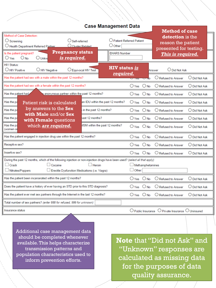#### **Case Management Data**

|                                                                                                                                                                                                                                              |                                       |                                                                            |                                  | <b>Method of case</b>                                                                 |                        |  |
|----------------------------------------------------------------------------------------------------------------------------------------------------------------------------------------------------------------------------------------------|---------------------------------------|----------------------------------------------------------------------------|----------------------------------|---------------------------------------------------------------------------------------|------------------------|--|
| Method of Case Detection:<br>$\bigcirc$ Screening<br>Self-referred<br>O Cluster Related<br>O Health Department Referred Partner                                                                                                              |                                       | <b>Patient Referred Patient</b><br>$\cup$ Other                            |                                  | detection is the<br>reason the patient<br>presented for testing.<br>This is required. |                        |  |
| <b>Pregnancy status</b><br>Is the patient pregnant?<br>is required.<br>$O_{\text{No}}$<br>$\bigcirc$ Yes<br>$\bigcirc$ Unknd                                                                                                                 | <b>EHARS Number</b>                   |                                                                            |                                  |                                                                                       |                        |  |
| <b>HIV Status:</b><br>$\cup$ HIV Positive<br><b>HIV Negative</b>                                                                                                                                                                             | Equivocal HIV Test                    | <b>HIV</b> status is                                                       |                                  | <b>Did Not Ask</b><br>Answer                                                          |                        |  |
| required.<br>Has the patient had sex with a male within the past 12 months?                                                                                                                                                                  |                                       |                                                                            |                                  | O Refused to Answer                                                                   | O Did Not Ask          |  |
| Has the patient had sex with a female within the past 12 months?                                                                                                                                                                             |                                       | ○ Yes                                                                      | $\bigcirc$ No                    | $\bigcirc$ Refused to Answer                                                          | O Did Not Ask          |  |
| Has the patient had<br>anonymous partner within the past 12 months?                                                                                                                                                                          |                                       |                                                                            | $\bigcirc$ No                    | ( ) Refused to Answer                                                                 | ◯ Did Not Ask          |  |
| Has the pa<br>Patient risk is calculated                                                                                                                                                                                                     | an IDU within the past 12 months?     | $\bigcirc$ Yes                                                             | $\bigcirc$ No                    | $\bigcirc$ Refused to Answer                                                          | $\bigcirc$ Did Not Ask |  |
| by answers to the Sex<br>Has the pa                                                                                                                                                                                                          | in the past 12 months?                | $\bigcirc$ Yes                                                             | $\bigcirc$ No                    | $\bigcirc$ Refused to Answer                                                          | O Did Not Ask          |  |
| with Male and/or Sex<br>Has the pa<br>with Female questions                                                                                                                                                                                  | ast 12 months?                        | $O$ Yes                                                                    | $\bigcirc$ No                    | ◯ Refused to Answer                                                                   | O Did Not Ask          |  |
| Has the pa<br>which are required.<br>(women or                                                                                                                                                                                               | <b>MSM</b> within the past 12 months? | $OY_{PS}$ $O$ No                                                           |                                  | $\bigcirc$ Refused to Answer                                                          | $\bigcirc$ Did Not Ask |  |
| Has the patient engaged in injection drug use within the past 12 months?                                                                                                                                                                     |                                       |                                                                            | $O$ Yes $O$ No                   | O Refused to Answer                                                                   | O Did Not Ask          |  |
| Receptive sex?                                                                                                                                                                                                                               |                                       |                                                                            | $O$ No                           | O Refused to Answer                                                                   | O Did Not Ask          |  |
| Insertive sex?                                                                                                                                                                                                                               | $\bigcirc$ Yes                        | $\bigcirc$ No                                                              | $\bigcirc$ Refused to Answer     | $\bigcirc$ Did Not Ask                                                                |                        |  |
| During the past 12 months, which of the following injection or non-injection drugs have been used? (select all that apply)<br>$\Box$ Crack<br>$\Box$ Heroin<br>Cocaine<br>Nitrates/Poppers<br>Erectile Dysfunction Medications (i.e. Viagra) |                                       |                                                                            | Methamphetamines<br>$\Box$ Other |                                                                                       |                        |  |
| Has the patient been incarcerated within the past 12 months?                                                                                                                                                                                 |                                       |                                                                            | $\bigcirc$ No                    | Refused to Answer                                                                     | O Did Not Ask          |  |
| Does the patient have a history of ever having an STD prior to this STD diagnosis?                                                                                                                                                           |                                       |                                                                            | $\bigcirc$ No                    | $\bigcirc$ Refused to Answer                                                          | O Did Not Ask          |  |
| Has the patient ever met sex partners through the Internet in the last 12 months?                                                                                                                                                            |                                       |                                                                            | $O$ Yes $O$ No                   | $\bigcirc$ Refused to Answer                                                          | O Did Not Ask          |  |
| Total number of sex partners? (enter 888 for refused, 999 for unknown)                                                                                                                                                                       |                                       |                                                                            |                                  |                                                                                       |                        |  |
| Insurance status                                                                                                                                                                                                                             |                                       | $\bigcirc$ Public Insurance<br>O<br>Private Insurance $\bigcirc$ Uninsured |                                  |                                                                                       |                        |  |

Additional case management data should be completed whenever available. This helps characterize transmission patterns and population characteristics used to inform prevention efforts.

**Note** that "Did not Ask" and "Unknown" responses are calculated as missing data for the purposes of data quality assurance.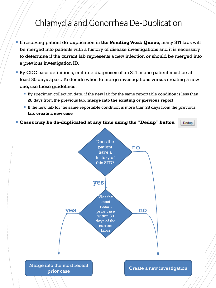# <span id="page-6-0"></span>Chlamydia and Gonorrhea De-Duplication

- If resolving patient de-duplication in **the Pending Work Queue**, many STI labs will be merged into patients with a history of disease investigations and it is necessary to determine if the current lab represents a new infection or should be merged into a previous investigation ID.
- By CDC case definitions, multiple diagnoses of an STI in one patient must be at least 30 days apart.To decide when to merge investigations versus creating a new one, use these guidelines:
	- By specimen collection date, if the new lab for the same reportable condition is less than 28 days from the previous lab, **merge into the existing or previous report**
	- **If the new lab for the same reportable condition is more than 28 days from the previous** lab, **create a new case**

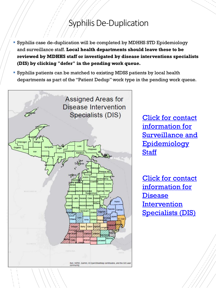# Syphilis De-Duplication

- <span id="page-7-0"></span>Syphilis case de-duplication will be completed by MDHHS STD Epidemiology and surveillance staff. **Local health departments should leave these to be reviewed by MDHHS staff or investigated by disease interventions specialists (DIS) by clicking "defer" in the pending work queue.**
- Syphilis patients can be matched to existing MDSS patients by local health departments as part of the "Patient Dedup" work type in the pending work queue.



Click for contact information for [Surveillance and](https://www.michigan.gov/documents/mdhhs/HIV-STD_Surv__Epi_Section_Contact_Info_634099_7.pdf)  **Epidemiology Staff** 

Click for contact information for **Disease Intervention** [Specialists \(DIS\)](https://www.michigan.gov/documents/mdhhs/MI_Area_DIS_Map_w-staff_legend_633955_7.pdf)